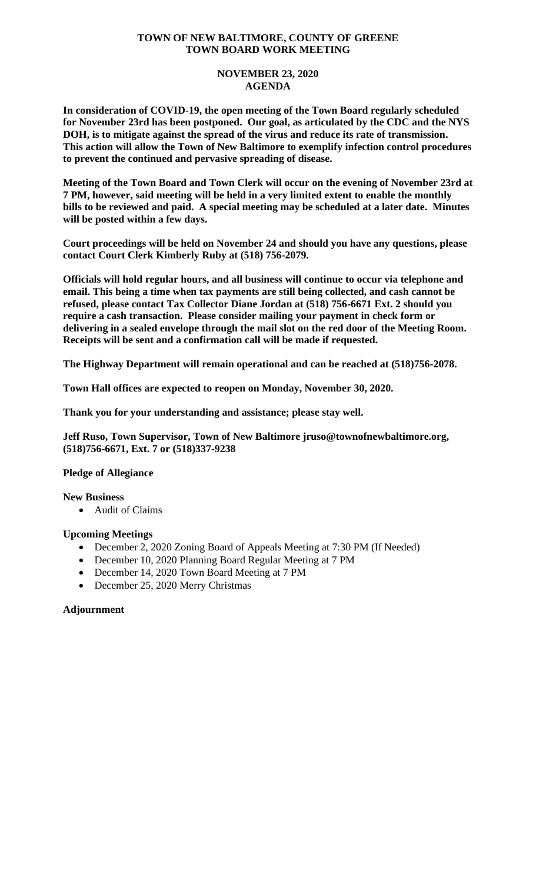### **TOWN OF NEW BALTIMORE, COUNTY OF GREENE TOWN BOARD WORK MEETING**

### **NOVEMBER 23, 2020 AGENDA**

**In consideration of COVID-19, the open meeting of the Town Board regularly scheduled for November 23rd has been postponed. Our goal, as articulated by the CDC and the NYS DOH, is to mitigate against the spread of the virus and reduce its rate of transmission. This action will allow the Town of New Baltimore to exemplify infection control procedures to prevent the continued and pervasive spreading of disease.** 

**Meeting of the Town Board and Town Clerk will occur on the evening of November 23rd at 7 PM, however, said meeting will be held in a very limited extent to enable the monthly bills to be reviewed and paid. A special meeting may be scheduled at a later date. Minutes will be posted within a few days.** 

**Court proceedings will be held on November 24 and should you have any questions, please contact Court Clerk Kimberly Ruby at (518) 756-2079.**

**Officials will hold regular hours, and all business will continue to occur via telephone and email. This being a time when tax payments are still being collected, and cash cannot be refused, please contact Tax Collector Diane Jordan at (518) 756-6671 Ext. 2 should you require a cash transaction. Please consider mailing your payment in check form or delivering in a sealed envelope through the mail slot on the red door of the Meeting Room. Receipts will be sent and a confirmation call will be made if requested.** 

**The Highway Department will remain operational and can be reached at (518)756-2078.**

**Town Hall offices are expected to reopen on Monday, November 30, 2020.**

**Thank you for your understanding and assistance; please stay well.** 

**Jeff Ruso, Town Supervisor, Town of New Baltimore jruso@townofnewbaltimore.org, (518)756-6671, Ext. 7 or (518)337-9238**

# **Pledge of Allegiance**

#### **New Business**

• Audit of Claims

#### **Upcoming Meetings**

- December 2, 2020 Zoning Board of Appeals Meeting at 7:30 PM (If Needed)
- December 10, 2020 Planning Board Regular Meeting at 7 PM
- December 14, 2020 Town Board Meeting at 7 PM
- December 25, 2020 Merry Christmas

#### **Adjournment**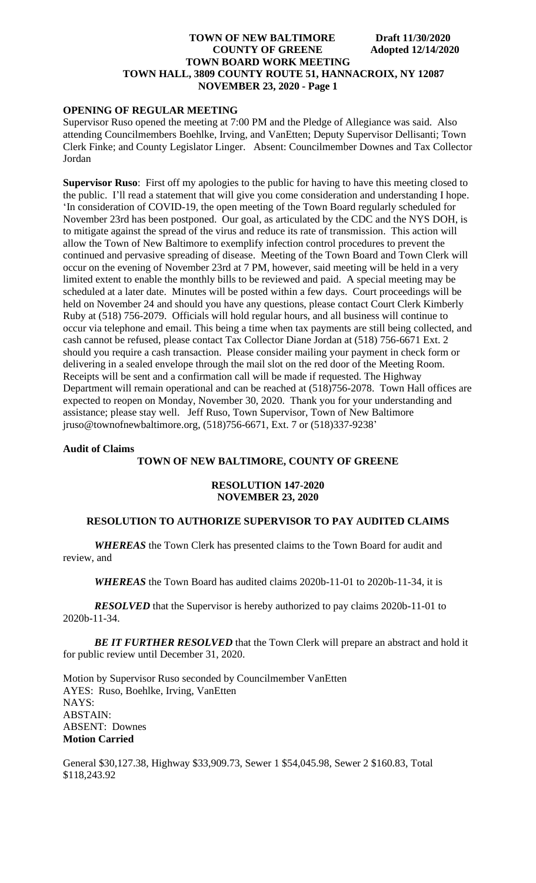# **TOWN OF NEW BALTIMORE Draft 11/30/2020 COUNTY OF GREENE** Adopted 12/14/2020 **TOWN BOARD WORK MEETING TOWN HALL, 3809 COUNTY ROUTE 51, HANNACROIX, NY 12087 NOVEMBER 23, 2020 - Page 1**

# **OPENING OF REGULAR MEETING**

Supervisor Ruso opened the meeting at 7:00 PM and the Pledge of Allegiance was said. Also attending Councilmembers Boehlke, Irving, and VanEtten; Deputy Supervisor Dellisanti; Town Clerk Finke; and County Legislator Linger. Absent: Councilmember Downes and Tax Collector Jordan

**Supervisor Ruso**: First off my apologies to the public for having to have this meeting closed to the public. I'll read a statement that will give you come consideration and understanding I hope. 'In consideration of COVID-19, the open meeting of the Town Board regularly scheduled for November 23rd has been postponed. Our goal, as articulated by the CDC and the NYS DOH, is to mitigate against the spread of the virus and reduce its rate of transmission. This action will allow the Town of New Baltimore to exemplify infection control procedures to prevent the continued and pervasive spreading of disease. Meeting of the Town Board and Town Clerk will occur on the evening of November 23rd at 7 PM, however, said meeting will be held in a very limited extent to enable the monthly bills to be reviewed and paid. A special meeting may be scheduled at a later date. Minutes will be posted within a few days. Court proceedings will be held on November 24 and should you have any questions, please contact Court Clerk Kimberly Ruby at (518) 756-2079. Officials will hold regular hours, and all business will continue to occur via telephone and email. This being a time when tax payments are still being collected, and cash cannot be refused, please contact Tax Collector Diane Jordan at (518) 756-6671 Ext. 2 should you require a cash transaction. Please consider mailing your payment in check form or delivering in a sealed envelope through the mail slot on the red door of the Meeting Room. Receipts will be sent and a confirmation call will be made if requested. The Highway Department will remain operational and can be reached at (518)756-2078. Town Hall offices are expected to reopen on Monday, November 30, 2020. Thank you for your understanding and assistance; please stay well. Jeff Ruso, Town Supervisor, Town of New Baltimore jruso@townofnewbaltimore.org, (518)756-6671, Ext. 7 or (518)337-9238'

#### **Audit of Claims**

# **TOWN OF NEW BALTIMORE, COUNTY OF GREENE**

### **RESOLUTION 147-2020 NOVEMBER 23, 2020**

### **RESOLUTION TO AUTHORIZE SUPERVISOR TO PAY AUDITED CLAIMS**

*WHEREAS* the Town Clerk has presented claims to the Town Board for audit and review, and

*WHEREAS* the Town Board has audited claims 2020b-11-01 to 2020b-11-34, it is

*RESOLVED* that the Supervisor is hereby authorized to pay claims 2020b-11-01 to 2020b-11-34.

*BE IT FURTHER RESOLVED* that the Town Clerk will prepare an abstract and hold it for public review until December 31, 2020.

Motion by Supervisor Ruso seconded by Councilmember VanEtten AYES: Ruso, Boehlke, Irving, VanEtten NAYS: ABSTAIN: ABSENT: Downes **Motion Carried**

General \$30,127.38, Highway \$33,909.73, Sewer 1 \$54,045.98, Sewer 2 \$160.83, Total \$118,243.92